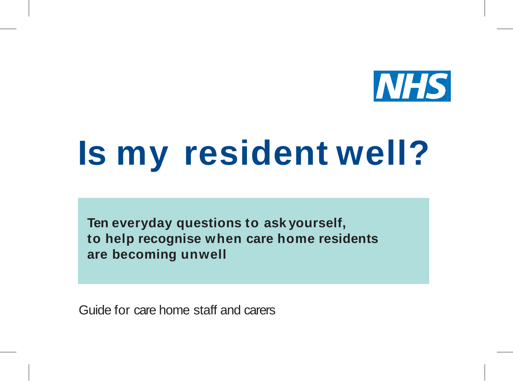

# **Is my resident well?**

**Ten everyday questions to ask yourself, to help recognise when care home residents are becoming unwell**

Guide for care home staff and carers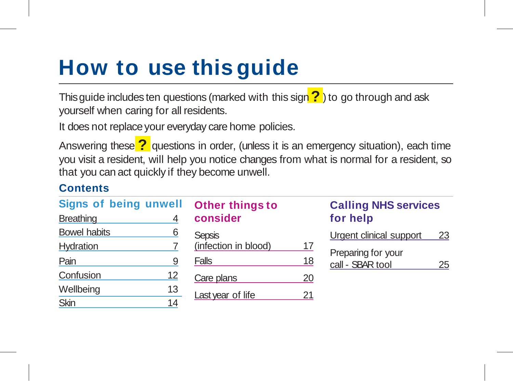## **How to use this guide**

This guide includes ten questions (marked with this sign **?** ) to go through and ask yourself when caring for all residents.

It does not replace your everyday care home policies.

Answering these **?** questions in order, (unless it is an emergency situation), each time you visit a resident, will help you notice changes from what is normal for a resident, so that you can act quickly if they become unwell.

#### **Contents**

| <b>Signs of being unwell</b> |    | Other things to      |    |
|------------------------------|----|----------------------|----|
| <b>Breathing</b>             | 4  | consider             |    |
| <b>Bowel habits</b>          | 6  | <b>Sepsis</b>        |    |
| Hydration                    |    | (infection in blood) | 17 |
| Pain                         | 9  | Falls                | 18 |
| Confusion                    | 12 | Care plans           | 20 |
| Wellbeing                    | 13 | Last year of life    | 21 |
| Skin                         | 14 |                      |    |

#### **Calling NHS services for help**

| Urgent clinical support | 23 |
|-------------------------|----|
| Preparing for your      |    |
| call - SBAR tool        | 25 |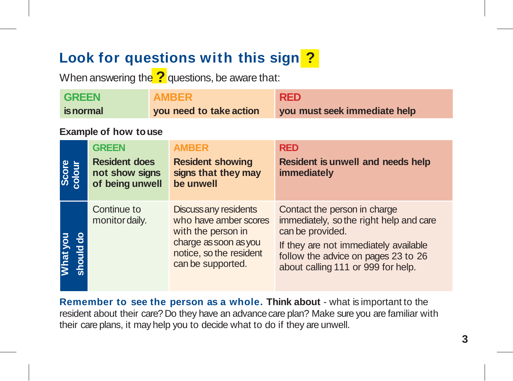### **Look for questions with this sign ?**

When answering the **?** questions, be aware that:

| <b>GREEN</b><br><b>AMBER</b><br>you need to take action<br>is normal |                                                           |  | <b>RED</b><br>you must seek immediate help                                                                                                    |                                                                                                                                                                                                                   |
|----------------------------------------------------------------------|-----------------------------------------------------------|--|-----------------------------------------------------------------------------------------------------------------------------------------------|-------------------------------------------------------------------------------------------------------------------------------------------------------------------------------------------------------------------|
|                                                                      | <b>Example of how to use</b>                              |  |                                                                                                                                               |                                                                                                                                                                                                                   |
|                                                                      | <b>GREEN</b>                                              |  | <b>AMBER</b>                                                                                                                                  | <b>RED</b>                                                                                                                                                                                                        |
| Score<br>colour                                                      | <b>Resident does</b><br>not show signs<br>of being unwell |  | <b>Resident showing</b><br>signs that they may<br>be unwell                                                                                   | Resident is unwell and needs help<br>immediately                                                                                                                                                                  |
| What you<br>should do                                                | Continue to<br>monitor daily.                             |  | Discuss any residents<br>who have amber scores<br>with the person in<br>charge as soon as you<br>notice, so the resident<br>can be supported. | Contact the person in charge<br>immediately, so the right help and care<br>can be provided.<br>If they are not immediately available<br>follow the advice on pages 23 to 26<br>about calling 111 or 999 for help. |

**Remember to see the person as a whole. Think about** - what is important to the resident about their care? Do they have an advance care plan? Make sure you are familiar with their care plans, it may help you to decide what to do if they are unwell.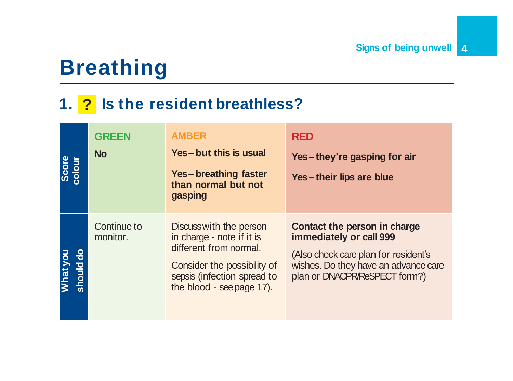## **Breathing**

### **1. ? Is the resident breathless?**

| Score<br>colour       | <b>GREEN</b><br><b>No</b> | <b>AMBER</b><br>Yes-but this is usual<br>Yes-breathing faster<br>than normal but not<br>gasping                                                                           | <b>RED</b><br>Yes-they're gasping for air<br>Yes-their lips are blue                                                                                                     |
|-----------------------|---------------------------|---------------------------------------------------------------------------------------------------------------------------------------------------------------------------|--------------------------------------------------------------------------------------------------------------------------------------------------------------------------|
| What you<br>should do | Continue to<br>monitor.   | Discuss with the person<br>in charge - note if it is<br>different from normal.<br>Consider the possibility of<br>sepsis (infection spread to<br>the blood - see page 17). | Contact the person in charge<br>immediately or call 999<br>(Also check care plan for resident's<br>wishes. Do they have an advance care<br>plan or DNACPR/ReSPECT form?) |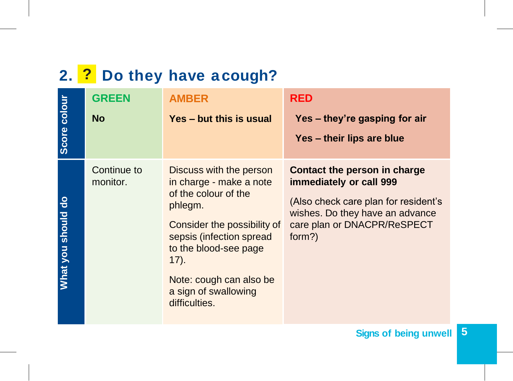### **2. ? Do they have a cough?**

| Score colour       | <b>GREEN</b><br><b>No</b> | <b>AMBER</b><br>Yes - but this is usual                                                                                                                                                                                                                   | RED<br>Yes - they're gasping for air<br>Yes - their lips are blue                                                                                                           |
|--------------------|---------------------------|-----------------------------------------------------------------------------------------------------------------------------------------------------------------------------------------------------------------------------------------------------------|-----------------------------------------------------------------------------------------------------------------------------------------------------------------------------|
| What you should do | Continue to<br>monitor.   | Discuss with the person<br>in charge - make a note<br>of the colour of the<br>phlegm.<br>Consider the possibility of<br>sepsis (infection spread<br>to the blood-see page<br>$(17)$ .<br>Note: cough can also be<br>a sign of swallowing<br>difficulties. | Contact the person in charge<br>immediately or call 999<br>(Also check care plan for resident's<br>wishes. Do they have an advance<br>care plan or DNACPR/ReSPECT<br>form?) |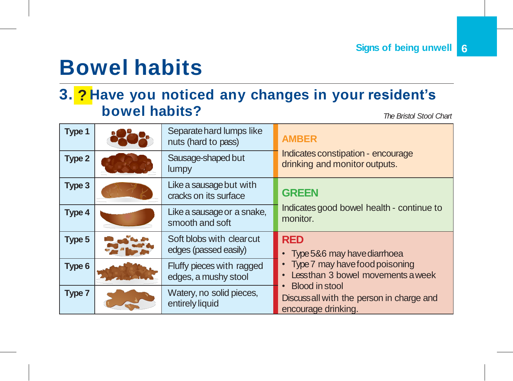### **Bowel habits**

#### **3. ? Have you noticed any changes in your resident's bowel habits?** *The Bristol Stool Chart*

**Type 1 Separate hard lumps like** nuts (hard to pass) **AMBER** Indicates constipation - encourage Type 2 Sausage-shaped but drinking and monitor outputs. lumpy **Type 3** Like a sausage but with cracks on its surface **GREEN** Indicates good bowel health - continue to **Type 4** Like a sausage or a snake, **Indicates** smooth and soft **Type 5** Soft blobs with clearcut edges (passed easily) **RED** • Type 5&6 may havediarrhoea • Type 7 may have foodpoisoning • Less than 3 bowel movements aweek • Blood in stool Discuss all with the person in charge and encourage drinking. **Type 6 Fluffy pieces with ragged** edges, a mushy stool **Type 7** Watery, no solid pieces, entirely liquid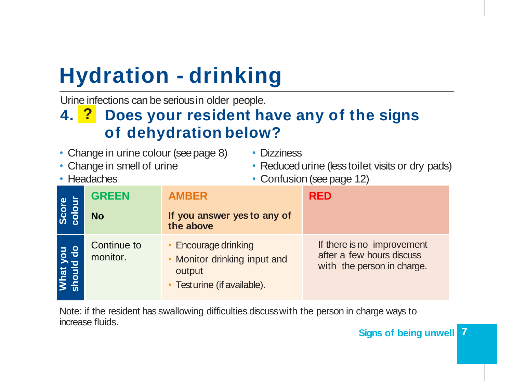## **Hydration - drinking**

Urine infections can be serious in older people.

### **4. ? Does your resident have any of the signs of dehydration below?**

- Change in urine colour (see page 8)
- Change in smell of urine
- Headaches
- Dizziness
- Reduced urine (less toilet visits or dry pads)
- Confusion (see page 12)

| Score<br>colour       | <b>GREEN</b><br><b>No</b> | <b>AMBER</b><br>If you answer yes to any of<br>the above                                      | <b>RED</b>                                                                            |
|-----------------------|---------------------------|-----------------------------------------------------------------------------------------------|---------------------------------------------------------------------------------------|
| What you<br>thould do | Continue to<br>monitor.   | • Encourage drinking<br>• Monitor drinking input and<br>output<br>• Testurine (if available). | If there is no improvement<br>after a few hours discuss<br>with the person in charge. |

Note: if the resident has swallowing difficulties discuss with the person in charge ways to increase fluids.

#### **7 Signs of being unwell**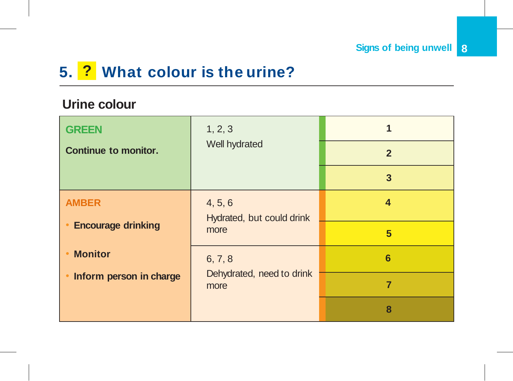### **5. ? What colour is the urine?**

#### **Urine colour**

| <b>GREEN</b>                | 1, 2, 3                              |                |
|-----------------------------|--------------------------------------|----------------|
| <b>Continue to monitor.</b> | Well hydrated                        | $\overline{2}$ |
|                             |                                      | 3              |
| <b>AMBER</b>                | 4, 5, 6<br>Hydrated, but could drink | 4              |
| <b>Encourage drinking</b>   | more                                 | 5              |
| <b>Monitor</b>              | 6, 7, 8                              | 6              |
| Inform person in charge     | Dehydrated, need to drink<br>more    | 7              |
|                             |                                      | 8              |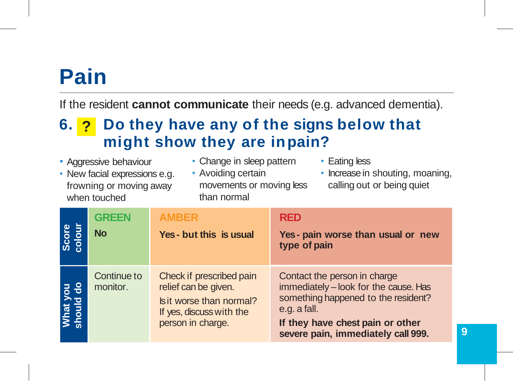### **Pain**

If the resident **cannot communicate** their needs (e.g. advanced dementia).

### **6. ? Do they have any of the signs below that might show they are inpain?**

- Aggressive behaviour
- New facial expressions e.g. frowning or moving away when touched
- Change in sleep pattern
- Avoiding certain movements or moving less than normal
- Eating less
- Increase in shouting, moaning, calling out or being quiet

| Score<br>colour       | <b>GREEN</b><br><b>No</b> | <b>AMBER</b><br>Yes - but this is usual                                                                                       | <b>RED</b><br>Yes - pain worse than usual or new<br>type of pain                                                                                                                                       |   |
|-----------------------|---------------------------|-------------------------------------------------------------------------------------------------------------------------------|--------------------------------------------------------------------------------------------------------------------------------------------------------------------------------------------------------|---|
| <b>Nhat</b><br>thould | Continue to<br>monitor.   | Check if prescribed pain<br>relief can be given.<br>Is it worse than normal?<br>If yes, discuss with the<br>person in charge. | Contact the person in charge<br>immediately - look for the cause. Has<br>something happened to the resident?<br>e.g. a fall.<br>If they have chest pain or other<br>severe pain, immediately call 999. | 9 |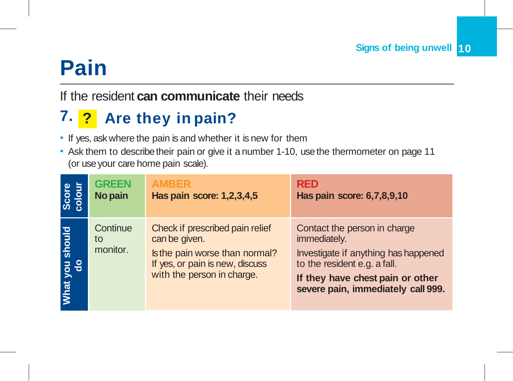## **Pain**

If the resident **can communicate** their needs

### **7. ? Are they in pain?**

- If yes, ask where the pain is and whether it is new for them
- Ask them to describe their pain or give it a number 1-10, use the thermometer on page 11 (or use your care home pain scale).

| Score<br>colour              | <b>GREEN</b>               | <b>AMBER</b>                                                                                                                                        | <b>RED</b>                                                                                                                                                                                     |
|------------------------------|----------------------------|-----------------------------------------------------------------------------------------------------------------------------------------------------|------------------------------------------------------------------------------------------------------------------------------------------------------------------------------------------------|
|                              | No pain                    | Has pain score: 1,2,3,4,5                                                                                                                           | Has pain score: 6,7,8,9,10                                                                                                                                                                     |
| should<br>you<br><b>What</b> | Continue<br>to<br>monitor. | Check if prescribed pain relief<br>can be given.<br>Is the pain worse than normal?<br>If yes, or pain is new, discuss<br>with the person in charge. | Contact the person in charge<br>immediately.<br>Investigate if anything has happened<br>to the resident e.g. a fall.<br>If they have chest pain or other<br>severe pain, immediately call 999. |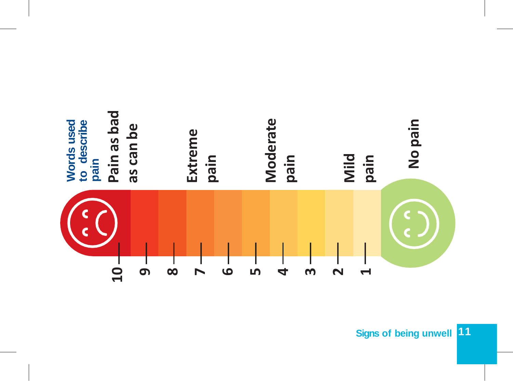

**Signs of being unwell 11**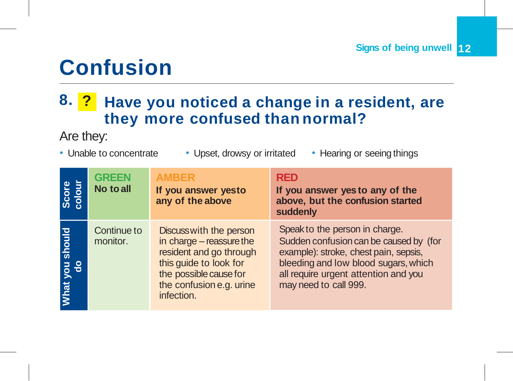### **Confusion**

### **8. ? Have you noticed a change in a resident, are they more confused than normal?**

#### Are they:

- 
- Unable to concentrate Upset, drowsy or irritated Hearing or seeing things
	-

| Score<br>colour    | <b>GREEN</b><br>No to all | <b>AMBER</b><br>If you answer yesto<br>any of the above                                                                                                                      | <b>RED</b><br>If you answer yes to any of the<br>above, but the confusion started<br>suddenly                                                                                                                              |
|--------------------|---------------------------|------------------------------------------------------------------------------------------------------------------------------------------------------------------------------|----------------------------------------------------------------------------------------------------------------------------------------------------------------------------------------------------------------------------|
| should<br>What you | Continue to<br>monitor.   | Discuss with the person<br>in charge - reassure the<br>resident and go through<br>this guide to look for<br>the possible cause for<br>the confusion e.g. urine<br>infection. | Speak to the person in charge.<br>Sudden confusion can be caused by (for<br>example): stroke, chest pain, sepsis,<br>bleeding and low blood sugars, which<br>all require urgent attention and you<br>may need to call 999. |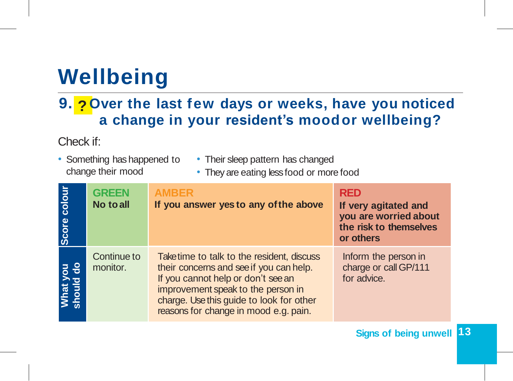## **Wellbeing**

### **9. ? Over the last few days or weeks, have you noticed a change in your resident's moodor wellbeing?**

Check if:

- Something has happened to change their mood
- Their sleep pattern has changed
- They are eating less food or more food

| Score colour          | <b>GREEN</b><br>No to all | <b>AMBER</b><br>If you answer yes to any of the above                                                                                                                                                                                                  | <b>RED</b><br>If very agitated and<br>you are worried about<br>the risk to themselves<br>or others |
|-----------------------|---------------------------|--------------------------------------------------------------------------------------------------------------------------------------------------------------------------------------------------------------------------------------------------------|----------------------------------------------------------------------------------------------------|
| What you<br>should do | Continue to<br>monitor.   | Take time to talk to the resident, discuss<br>their concerns and see if you can help.<br>If you cannot help or don't see an<br>improvement speak to the person in<br>charge. Use this guide to look for other<br>reasons for change in mood e.g. pain. | Inform the person in<br>charge or call GP/111<br>for advice.                                       |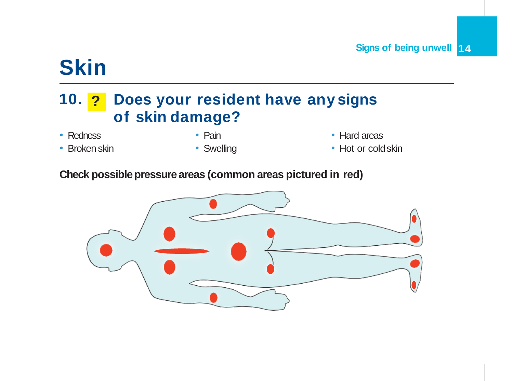## **Skin**

### **10. ? Does your resident have any signs of skin damage?**

- Redness
- Broken skin
- Pain
- Swelling
- Hard areas
- Hot or cold skin

#### **Check possible pressure areas (common areas pictured in red)**

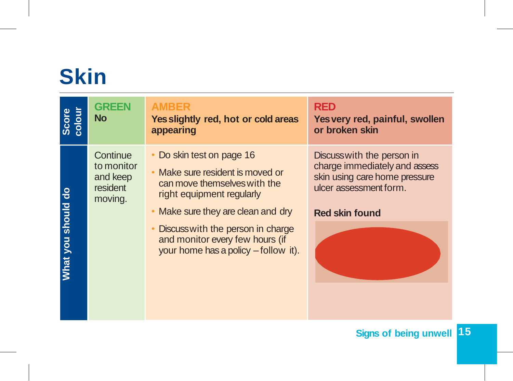## **Skin**

| Score<br>colour    | <b>GREEN</b><br><b>No</b>                                 | <b>AMBER</b><br>Yes slightly red, hot or cold areas<br>appearing                                                                                             | <b>RED</b><br>Yes very red, painful, swollen<br>or broken skin                                                                                 |
|--------------------|-----------------------------------------------------------|--------------------------------------------------------------------------------------------------------------------------------------------------------------|------------------------------------------------------------------------------------------------------------------------------------------------|
|                    | Continue<br>to monitor<br>and keep<br>resident<br>moving. | Do skin test on page 16<br>Make sure resident is moved or<br>can move themselves with the<br>right equipment regularly<br>• Make sure they are clean and dry | Discusswith the person in<br>charge immediately and assess<br>skin using care home pressure<br>ulcer assessment form.<br><b>Red skin found</b> |
| What you should do |                                                           | Discuss with the person in charge<br>and monitor every few hours (if<br>your home has a policy - follow it).                                                 |                                                                                                                                                |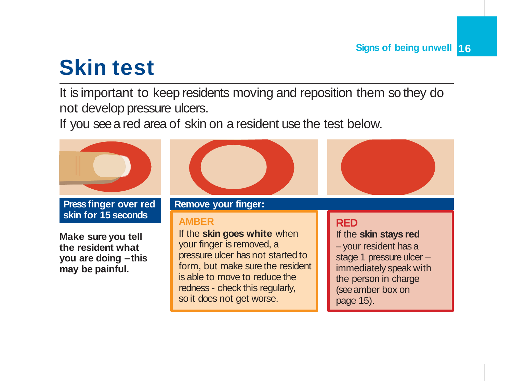## **Skin test**

It is important to keep residents moving and reposition them so they do not develop pressure ulcers.

If you see a red area of skin on a resident use the test below.

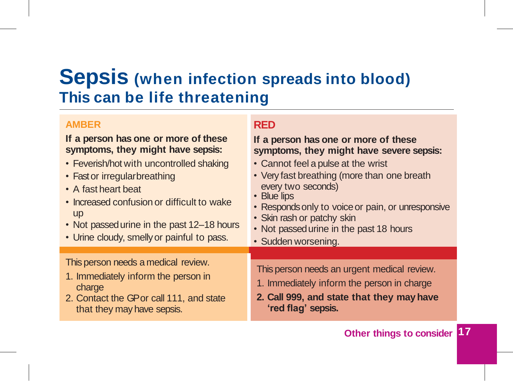### **Sepsis (when infection spreads into blood) This can be life threatening**

#### **AMBER**

#### **If a person has one or more of these symptoms, they might have sepsis:**

- Feverish/hot with uncontrolled shaking
- Fast or irregular breathing
- A fast heart beat
- Increased confusion or difficult to wake up
- Not passed urine in the past 12–18 hours
- Urine cloudy, smelly or painful to pass.

#### This person needs a medical review.

- 1. Immediately inform the person in charge
- 2. Contact the GP or call 111, and state that they may have sepsis.

#### **RED**

#### **If a person has one or more of these symptoms, they might have severe sepsis:**

- Cannot feel a pulse at the wrist
- Very fast breathing (more than one breath every two seconds)
- Blue lips
- Responds only to voice or pain, or unresponsive
- Skin rash or patchy skin
- Not passed urine in the past 18 hours
- Sudden worsening.

This person needs an urgent medical review.

- 1. Immediately inform the person in charge
- **2. Call 999, and state that they may have 'red flag' sepsis.**

#### **Other things to consider 17**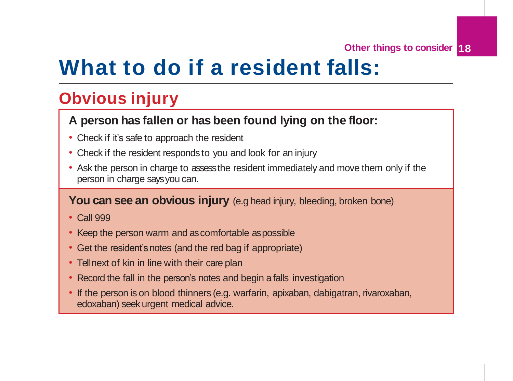**Other things to consider 18**

### **What to do if a resident falls:**

### **Obvious injury**

#### **A person has fallen or has been found lying on the floor:**

- Check if it's safe to approach the resident
- Check if the resident responds to you and look for an injury
- Ask the person in charge to assess the resident immediately and move them only if the person in charge says you can.

#### You can see an obvious injury (e.g head injury, bleeding, broken bone)

- Call 999
- Keep the person warm and as comfortable aspossible
- Get the resident's notes (and the red bag if appropriate)
- Tell next of kin in line with their care plan
- Record the fall in the person's notes and begin a falls investigation
- If the person is on blood thinners (e.g. warfarin, apixaban, dabigatran, rivaroxaban, edoxaban) seek urgent medical advice.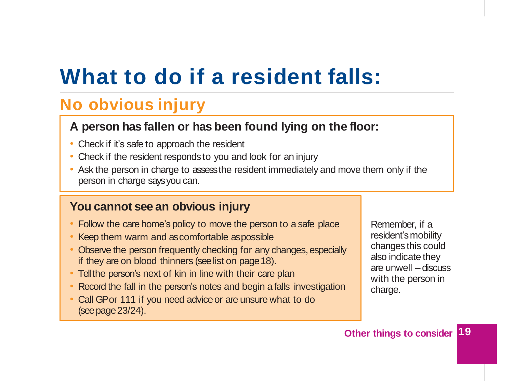## **What to do if a resident falls:**

### **No obvious injury**

#### **A person has fallen or has been found lying on the floor:**

- Check if it's safe to approach the resident
- Check if the resident responds to you and look for an injury
- Ask the person in charge to assess the resident immediately and move them only if the person in charge says you can.

#### **You cannot see an obvious injury**

- Follow the care home's policy to move the person to a safe place
- Keep them warm and as comfortable aspossible
- Observe the person frequently checking for any changes, especially if they are on blood thinners (see list on page 18).
- Tell the person's next of kin in line with their care plan
- Record the fall in the person's notes and begin a falls investigation
- Call GP or 111 if you need advice or are unsure what to do (see page23/24).

Remember, if a resident's mobility changes this could also indicate they are unwell – discuss with the person in charge.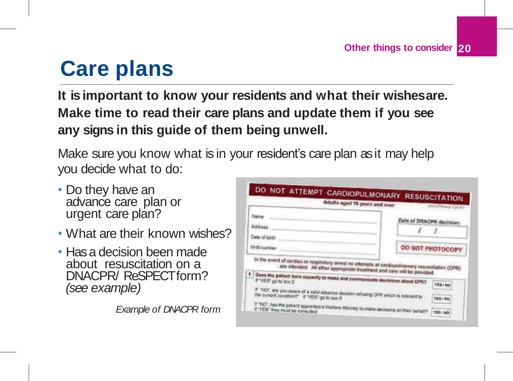## **Care plans**

**It is important to know your residents and what their wishesare. Make time to read their care plans and update them if you see any signs in this guide of them being unwell.**

Make sure you know what is in your resident's care plan as it may help you decide what to do:

- Do they have an advance care plan or urgent care plan?
- What are their known wishes?
- Has a decision been made about resuscitation on a DNACPR/ ReSPECT form? *(see example)*

*Example of DNACPR form*

|                                                                                                                                                                                                                                                             | DO NOT ATTEMPT CARDIOPULMONARY RESUSCITATION.<br>Adults aged 16 years and over<br><b>NACISBARUE 1/2015</b> |
|-------------------------------------------------------------------------------------------------------------------------------------------------------------------------------------------------------------------------------------------------------------|------------------------------------------------------------------------------------------------------------|
| Name                                                                                                                                                                                                                                                        | Date of DNACPR decision:                                                                                   |
| Address                                                                                                                                                                                                                                                     |                                                                                                            |
| Date of birth                                                                                                                                                                                                                                               |                                                                                                            |
| NHS number                                                                                                                                                                                                                                                  | DO NOT PHOTOCOPY                                                                                           |
| In the event of cardiac or respiratory arrest no attempts at cardiopulmenary resuscitation (CPR)<br>are intended. All other appropriate treatment and care will be provided.<br>Does the patient have capacity to make and communicate decisions about CPR? | <b>TESI NO</b><br>If ''NO', are you aware of a valid advance decision refusing CPR which is relevant to    |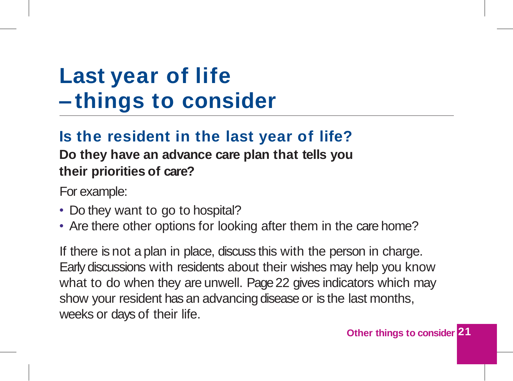## **Last year of life – things to consider**

### **Is the resident in the last year of life?**

**Do they have an advance care plan that tells you their priorities of care?**

For example:

- Do they want to go to hospital?
- Are there other options for looking after them in the care home?

If there is not a plan in place, discuss this with the person in charge. Early discussions with residents about their wishes may help you know what to do when they are unwell. Page 22 gives indicators which may show your resident has an advancing disease or is the last months, weeks or days of their life.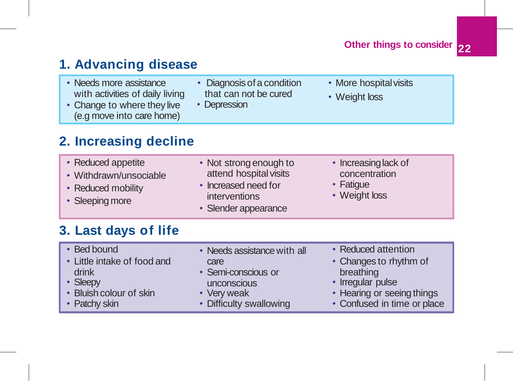**22 Other things to consider**

#### **1. Advancing disease** • Change to where they live (e.g move into care home) • Needs more assistance • Diagnosis of a condition with activities of daily living that can not be cured • Depression • More hospital visits • Weight loss **2. Increasing decline** • Withdrawn/unsociable • Reduced mobility • Not strong enough to attend hospital visits • Increased need for interventions • Increasing lack of concentration • Fatigue

#### • Reduced appetite

- 
- 
- Sleeping more

• Slender appearance

• Weight loss

#### **3. Last days of life**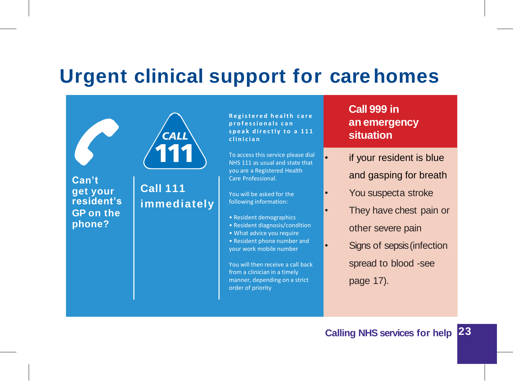### **Urgent clinical support for carehomes**



**R e g i s t e r e d h e a l t h c a r e p r o f e s s i o n a l s c a n s p e a k d i r e c t l y t o a 1 1 1 c l i n i c i a n**

To access this service please dial NHS 111 as usual and state that you are a Registered Health Care Professional.

You will be asked for the following information:

- Resident demographics
- Resident diagnosis/condition
- What advice you require
- Resident phone number and your work mobile number

You will then receive a call back from a clinician in a timely manner, depending on a strict order of priority

**Call 999 in an emergency situation**

- if your resident is blue and gasping for breath
- You suspecta stroke
- They have chest pain or other severe pain
- Signs of sepsis (infection spread to blood -see page 17).

#### **Calling NHS services for help 23**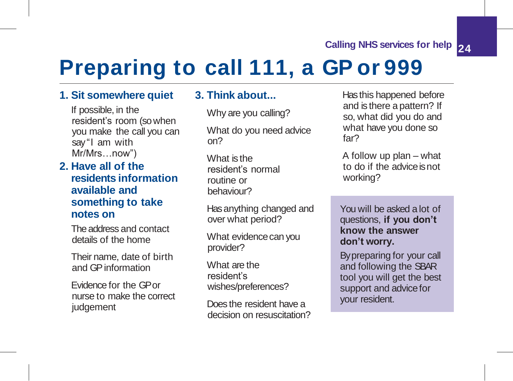#### **24 Calling NHS services for help**

## **Preparing to call 111, a GP or 999**

#### **1. Sit somewhere quiet**

If possible, in the resident's room (so when you make the call you can say"I am with Mr/Mrs…now")

#### **2. Have all of the residents information available and something to take notes on**

The address and contact details of the home

Their name, date of birth and GPinformation

Evidence for the GP or nurse to make the correct judgement

#### **3. Thinkabout...**

Why are you calling?

What do you need advice on?

What is the resident's normal routine or behaviour?

Has anything changed and over what period?

What evidence can you provider?

What are the resident's wishes/preferences?

Does the resident have a decision on resuscitation? Has this happened before and is there a pattern? If so, what did you do and what have you done so far?

A follow up plan – what to do if the advice isnot working?

You will be asked a lot of questions, **if you don't know the answer don't worry.**

By preparing for your call and following the SBAR tool you will get the best support and advice for your resident.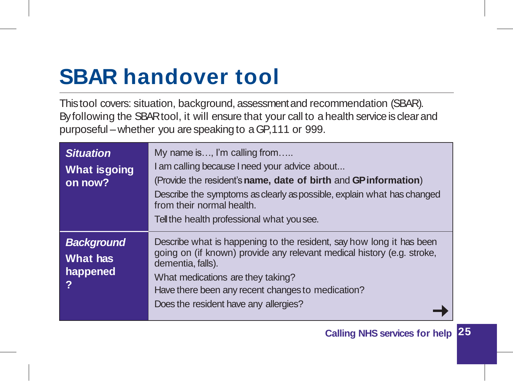## **SBAR handover tool**

This tool covers: situation, background, assessment and recommendation (SBAR). By following the SBAR tool, it will ensure that your call to a health service is clear and purposeful –whether you are speaking to a GP, 111 or 999.

| <b>Situation</b><br><b>What is going</b><br>on now?   | My name is, I'm calling from<br>I am calling because I need your advice about<br>(Provide the resident's name, date of birth and GP information)<br>Describe the symptoms as clearly as possible, explain what has changed<br>from their normal health.<br>Tell the health professional what you see.  |
|-------------------------------------------------------|--------------------------------------------------------------------------------------------------------------------------------------------------------------------------------------------------------------------------------------------------------------------------------------------------------|
| <b>Background</b><br><b>What has</b><br>happened<br>? | Describe what is happening to the resident, say how long it has been<br>going on (if known) provide any relevant medical history (e.g. stroke,<br>dementia, falls).<br>What medications are they taking?<br>Have there been any recent changes to medication?<br>Does the resident have any allergies? |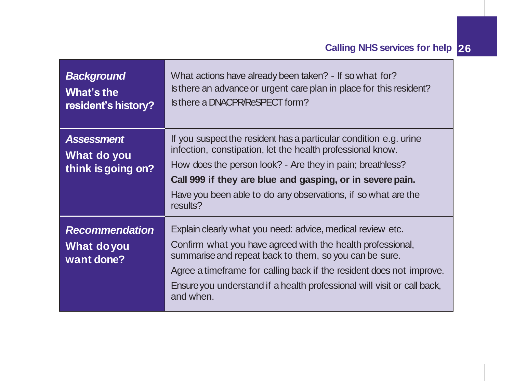| <b>Background</b><br>What's the<br>resident's history? | What actions have already been taken? - If so what for?<br>Is there an advance or urgent care plan in place for this resident?<br>Is there a DNACPR/ReSPECT form?                                                                                                                                                          |
|--------------------------------------------------------|----------------------------------------------------------------------------------------------------------------------------------------------------------------------------------------------------------------------------------------------------------------------------------------------------------------------------|
| <b>Assessment</b><br>What do you<br>think is going on? | If you suspect the resident has a particular condition e.g. urine<br>infection, constipation, let the health professional know.<br>How does the person look? - Are they in pain; breathless?<br>Call 999 if they are blue and gasping, or in severe pain.<br>Have you been able to do any observations, if so what are the |
|                                                        | results?                                                                                                                                                                                                                                                                                                                   |
| <b>Recommendation</b>                                  | Explain clearly what you need: advice, medical review etc.                                                                                                                                                                                                                                                                 |
| What do you<br>want done?                              | Confirm what you have agreed with the health professional,<br>summarise and repeat back to them, so you can be sure.                                                                                                                                                                                                       |
|                                                        | Agree a timeframe for calling back if the resident does not improve.                                                                                                                                                                                                                                                       |
|                                                        | Ensure you understand if a health professional will visit or call back,<br>and when.                                                                                                                                                                                                                                       |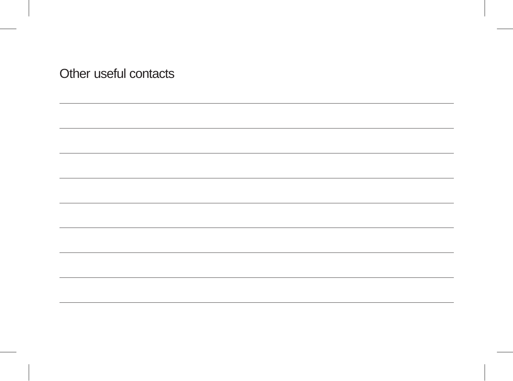Other useful contacts

,我们也不会有什么。""我们的人,我们也不会有什么?""我们的人,我们也不会有什么?""我们的人,我们也不会有什么?""我们的人,我们也不会有什么?""我们的人

<u> 1989 - Johann Stoff, deutscher Stoff, der Stoff, der Stoff, der Stoff, der Stoff, der Stoff, der Stoff, der S</u>

<u> 1989 - Johann Stoff, deutscher Stoff, der Stoff, der Stoff, der Stoff, der Stoff, der Stoff, der Stoff, der S</u>